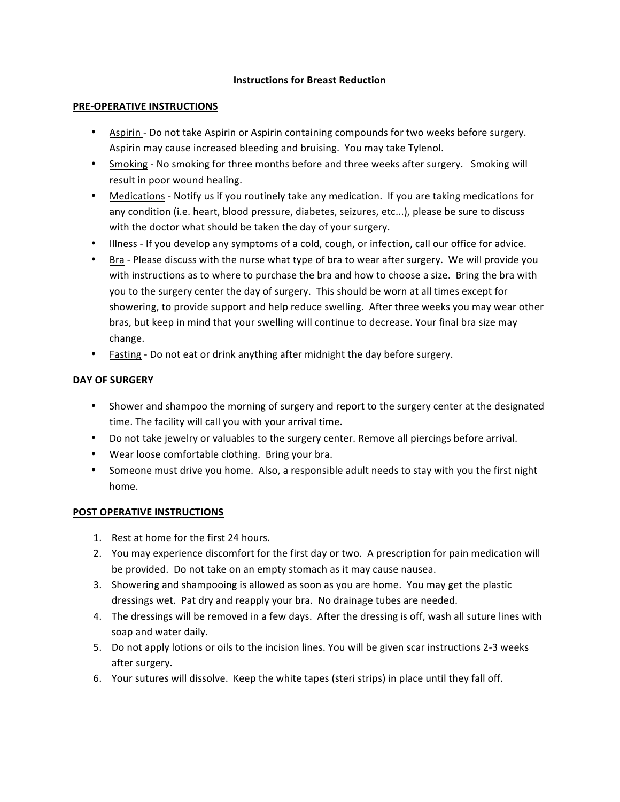#### **Instructions for Breast Reduction**

### **PRE-OPERATIVE INSTRUCTIONS**

- Aspirin Do not take Aspirin or Aspirin containing compounds for two weeks before surgery. Aspirin may cause increased bleeding and bruising. You may take Tylenol.
- Smoking No smoking for three months before and three weeks after surgery. Smoking will result in poor wound healing.
- Medications Notify us if you routinely take any medication. If you are taking medications for any condition (i.e. heart, blood pressure, diabetes, seizures, etc...), please be sure to discuss with the doctor what should be taken the day of your surgery.
- Illness If you develop any symptoms of a cold, cough, or infection, call our office for advice.
- Bra Please discuss with the nurse what type of bra to wear after surgery. We will provide you with instructions as to where to purchase the bra and how to choose a size. Bring the bra with you to the surgery center the day of surgery. This should be worn at all times except for showering, to provide support and help reduce swelling. After three weeks you may wear other bras, but keep in mind that your swelling will continue to decrease. Your final bra size may change.
- Fasting Do not eat or drink anything after midnight the day before surgery.

# **DAY OF SURGERY**

- Shower and shampoo the morning of surgery and report to the surgery center at the designated time. The facility will call you with your arrival time.
- Do not take jewelry or valuables to the surgery center. Remove all piercings before arrival.
- Wear loose comfortable clothing. Bring your bra.
- Someone must drive you home. Also, a responsible adult needs to stay with you the first night home.

### **POST OPERATIVE INSTRUCTIONS**

- 1. Rest at home for the first 24 hours.
- 2. You may experience discomfort for the first day or two. A prescription for pain medication will be provided. Do not take on an empty stomach as it may cause nausea.
- 3. Showering and shampooing is allowed as soon as you are home. You may get the plastic dressings wet. Pat dry and reapply your bra. No drainage tubes are needed.
- 4. The dressings will be removed in a few days. After the dressing is off, wash all suture lines with soap and water daily.
- 5. Do not apply lotions or oils to the incision lines. You will be given scar instructions 2-3 weeks after surgery.
- 6. Your sutures will dissolve. Keep the white tapes (steri strips) in place until they fall off.